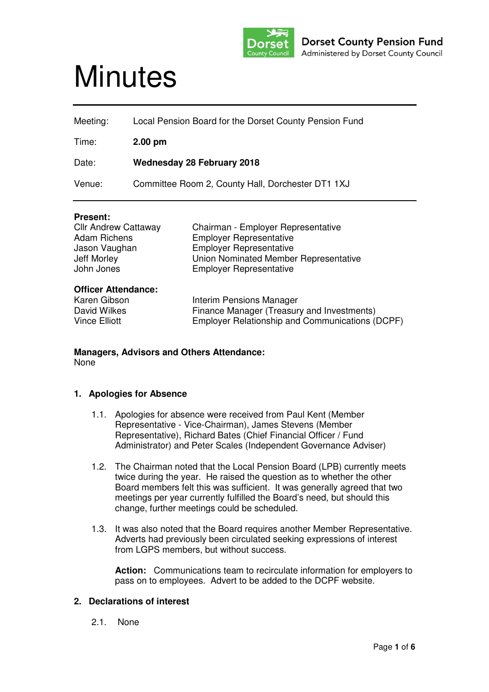

# **Minutes**

| Meeting: | Local Pension Board for the Dorset County Pension Fund |
|----------|--------------------------------------------------------|
| Time:    | $2.00$ pm                                              |
| Date:    | <b>Wednesday 28 February 2018</b>                      |
| Venue:   | Committee Room 2, County Hall, Dorchester DT1 1XJ      |

#### **Present:**

| <b>Cllr Andrew Cattaway</b> | Chairman - Employer Representative              |
|-----------------------------|-------------------------------------------------|
| <b>Adam Richens</b>         | <b>Employer Representative</b>                  |
| Jason Vaughan               | <b>Employer Representative</b>                  |
| <b>Jeff Morley</b>          | Union Nominated Member Representative           |
| John Jones                  | <b>Employer Representative</b>                  |
| <b>Officer Attendance:</b>  |                                                 |
| Karen Gibson                | Interim Pensions Manager                        |
| David Wilkes                | Finance Manager (Treasury and Investments)      |
| <b>Vince Elliott</b>        | Employer Relationship and Communications (DCPF) |

#### **Managers, Advisors and Others Attendance:**  None

## **1. Apologies for Absence**

- 1.1. Apologies for absence were received from Paul Kent (Member Representative - Vice-Chairman), James Stevens (Member Representative), Richard Bates (Chief Financial Officer / Fund Administrator) and Peter Scales (Independent Governance Adviser)
- 1.2. The Chairman noted that the Local Pension Board (LPB) currently meets twice during the year. He raised the question as to whether the other Board members felt this was sufficient. It was generally agreed that two meetings per year currently fulfilled the Board's need, but should this change, further meetings could be scheduled.
- 1.3. It was also noted that the Board requires another Member Representative. Adverts had previously been circulated seeking expressions of interest from LGPS members, but without success.

**Action:** Communications team to recirculate information for employers to pass on to employees. Advert to be added to the DCPF website.

# **2. Declarations of interest**

2.1. None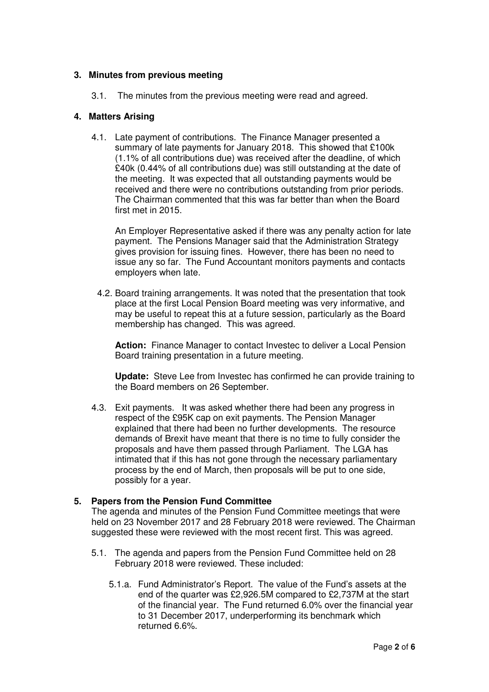# **3. Minutes from previous meeting**

3.1. The minutes from the previous meeting were read and agreed.

#### **4. Matters Arising**

4.1. Late payment of contributions. The Finance Manager presented a summary of late payments for January 2018. This showed that £100k (1.1% of all contributions due) was received after the deadline, of which £40k (0.44% of all contributions due) was still outstanding at the date of the meeting. It was expected that all outstanding payments would be received and there were no contributions outstanding from prior periods. The Chairman commented that this was far better than when the Board first met in 2015.

An Employer Representative asked if there was any penalty action for late payment. The Pensions Manager said that the Administration Strategy gives provision for issuing fines. However, there has been no need to issue any so far. The Fund Accountant monitors payments and contacts employers when late.

4.2. Board training arrangements. It was noted that the presentation that took place at the first Local Pension Board meeting was very informative, and may be useful to repeat this at a future session, particularly as the Board membership has changed. This was agreed.

**Action:** Finance Manager to contact Investec to deliver a Local Pension Board training presentation in a future meeting.

**Update:** Steve Lee from Investec has confirmed he can provide training to the Board members on 26 September.

4.3. Exit payments. It was asked whether there had been any progress in respect of the £95K cap on exit payments. The Pension Manager explained that there had been no further developments. The resource demands of Brexit have meant that there is no time to fully consider the proposals and have them passed through Parliament. The LGA has intimated that if this has not gone through the necessary parliamentary process by the end of March, then proposals will be put to one side, possibly for a year.

#### **5. Papers from the Pension Fund Committee**

The agenda and minutes of the Pension Fund Committee meetings that were held on 23 November 2017 and 28 February 2018 were reviewed. The Chairman suggested these were reviewed with the most recent first. This was agreed.

- 5.1. The agenda and papers from the Pension Fund Committee held on 28 February 2018 were reviewed. These included:
	- 5.1.a. Fund Administrator's Report. The value of the Fund's assets at the end of the quarter was £2,926.5M compared to £2,737M at the start of the financial year. The Fund returned 6.0% over the financial year to 31 December 2017, underperforming its benchmark which returned 6.6%.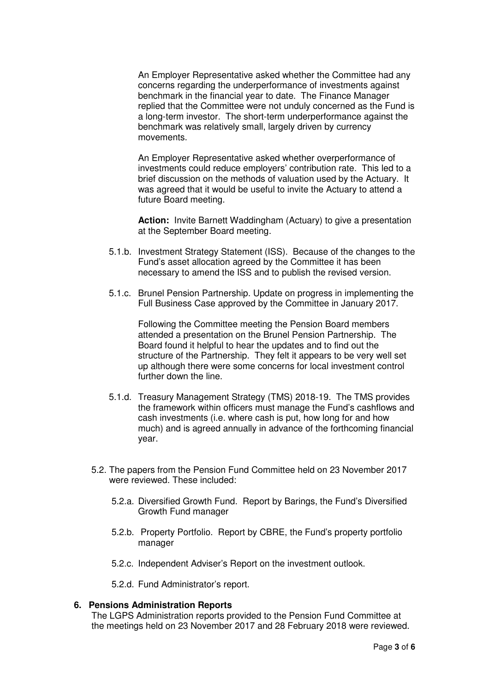An Employer Representative asked whether the Committee had any concerns regarding the underperformance of investments against benchmark in the financial year to date. The Finance Manager replied that the Committee were not unduly concerned as the Fund is a long-term investor. The short-term underperformance against the benchmark was relatively small, largely driven by currency movements.

An Employer Representative asked whether overperformance of investments could reduce employers' contribution rate. This led to a brief discussion on the methods of valuation used by the Actuary. It was agreed that it would be useful to invite the Actuary to attend a future Board meeting.

**Action:** Invite Barnett Waddingham (Actuary) to give a presentation at the September Board meeting.

- 5.1.b. Investment Strategy Statement (ISS). Because of the changes to the Fund's asset allocation agreed by the Committee it has been necessary to amend the ISS and to publish the revised version.
- 5.1.c. Brunel Pension Partnership. Update on progress in implementing the Full Business Case approved by the Committee in January 2017.

Following the Committee meeting the Pension Board members attended a presentation on the Brunel Pension Partnership. The Board found it helpful to hear the updates and to find out the structure of the Partnership. They felt it appears to be very well set up although there were some concerns for local investment control further down the line.

- 5.1.d. Treasury Management Strategy (TMS) 2018-19. The TMS provides the framework within officers must manage the Fund's cashflows and cash investments (i.e. where cash is put, how long for and how much) and is agreed annually in advance of the forthcoming financial year.
- 5.2. The papers from the Pension Fund Committee held on 23 November 2017 were reviewed. These included:
	- 5.2.a. Diversified Growth Fund. Report by Barings, the Fund's Diversified Growth Fund manager
	- 5.2.b. Property Portfolio. Report by CBRE, the Fund's property portfolio manager
	- 5.2.c. Independent Adviser's Report on the investment outlook.

5.2.d. Fund Administrator's report.

## **6. Pensions Administration Reports**

The LGPS Administration reports provided to the Pension Fund Committee at the meetings held on 23 November 2017 and 28 February 2018 were reviewed.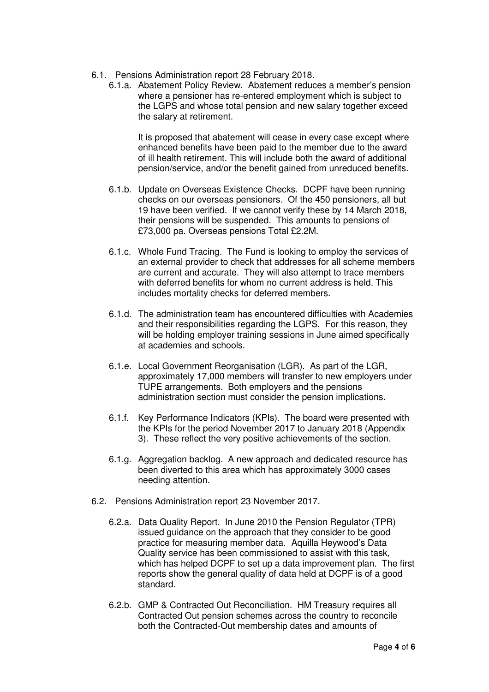- 6.1. Pensions Administration report 28 February 2018.
	- 6.1.a. Abatement Policy Review. Abatement reduces a member's pension where a pensioner has re-entered employment which is subject to the LGPS and whose total pension and new salary together exceed the salary at retirement.

It is proposed that abatement will cease in every case except where enhanced benefits have been paid to the member due to the award of ill health retirement. This will include both the award of additional pension/service, and/or the benefit gained from unreduced benefits.

- 6.1.b. Update on Overseas Existence Checks. DCPF have been running checks on our overseas pensioners. Of the 450 pensioners, all but 19 have been verified. If we cannot verify these by 14 March 2018, their pensions will be suspended. This amounts to pensions of £73,000 pa. Overseas pensions Total £2.2M.
- 6.1.c. Whole Fund Tracing. The Fund is looking to employ the services of an external provider to check that addresses for all scheme members are current and accurate. They will also attempt to trace members with deferred benefits for whom no current address is held. This includes mortality checks for deferred members.
- 6.1.d. The administration team has encountered difficulties with Academies and their responsibilities regarding the LGPS. For this reason, they will be holding employer training sessions in June aimed specifically at academies and schools.
- 6.1.e. Local Government Reorganisation (LGR). As part of the LGR, approximately 17,000 members will transfer to new employers under TUPE arrangements. Both employers and the pensions administration section must consider the pension implications.
- 6.1.f. Key Performance Indicators (KPIs). The board were presented with the KPIs for the period November 2017 to January 2018 (Appendix 3). These reflect the very positive achievements of the section.
- 6.1.g. Aggregation backlog. A new approach and dedicated resource has been diverted to this area which has approximately 3000 cases needing attention.
- 6.2. Pensions Administration report 23 November 2017.
	- 6.2.a. Data Quality Report. In June 2010 the Pension Regulator (TPR) issued guidance on the approach that they consider to be good practice for measuring member data. Aquilla Heywood's Data Quality service has been commissioned to assist with this task, which has helped DCPF to set up a data improvement plan. The first reports show the general quality of data held at DCPF is of a good standard.
	- 6.2.b. GMP & Contracted Out Reconciliation. HM Treasury requires all Contracted Out pension schemes across the country to reconcile both the Contracted-Out membership dates and amounts of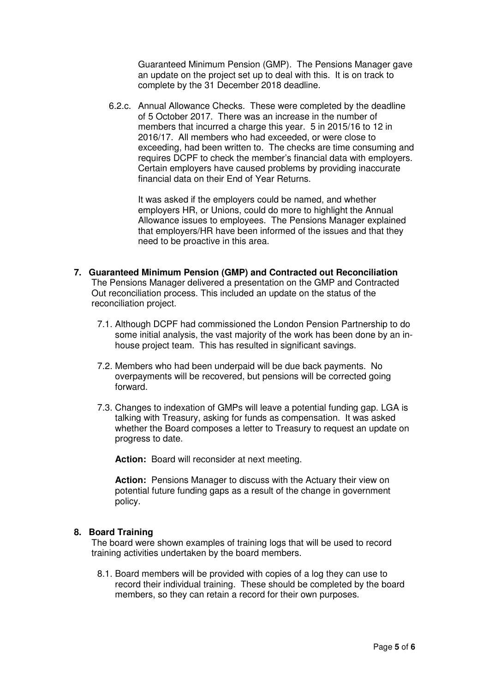Guaranteed Minimum Pension (GMP). The Pensions Manager gave an update on the project set up to deal with this. It is on track to complete by the 31 December 2018 deadline.

6.2.c. Annual Allowance Checks. These were completed by the deadline of 5 October 2017. There was an increase in the number of members that incurred a charge this year. 5 in 2015/16 to 12 in 2016/17. All members who had exceeded, or were close to exceeding, had been written to. The checks are time consuming and requires DCPF to check the member's financial data with employers. Certain employers have caused problems by providing inaccurate financial data on their End of Year Returns.

It was asked if the employers could be named, and whether employers HR, or Unions, could do more to highlight the Annual Allowance issues to employees. The Pensions Manager explained that employers/HR have been informed of the issues and that they need to be proactive in this area.

- **7. Guaranteed Minimum Pension (GMP) and Contracted out Reconciliation**  The Pensions Manager delivered a presentation on the GMP and Contracted Out reconciliation process. This included an update on the status of the reconciliation project.
	- 7.1. Although DCPF had commissioned the London Pension Partnership to do some initial analysis, the vast majority of the work has been done by an inhouse project team. This has resulted in significant savings.
	- 7.2. Members who had been underpaid will be due back payments. No overpayments will be recovered, but pensions will be corrected going forward.
	- 7.3. Changes to indexation of GMPs will leave a potential funding gap. LGA is talking with Treasury, asking for funds as compensation. It was asked whether the Board composes a letter to Treasury to request an update on progress to date.

**Action:** Board will reconsider at next meeting.

**Action:** Pensions Manager to discuss with the Actuary their view on potential future funding gaps as a result of the change in government policy.

#### **8. Board Training**

The board were shown examples of training logs that will be used to record training activities undertaken by the board members.

8.1. Board members will be provided with copies of a log they can use to record their individual training. These should be completed by the board members, so they can retain a record for their own purposes.